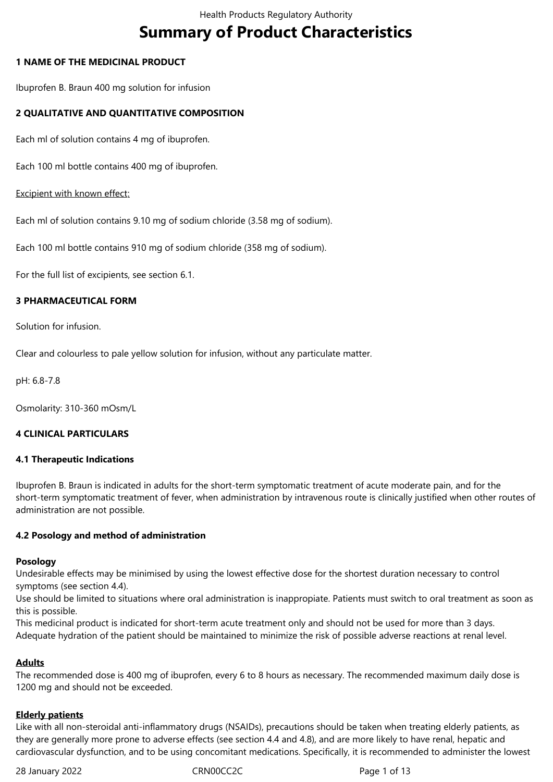# **Summary of Product Characteristics**

### **1 NAME OF THE MEDICINAL PRODUCT**

Ibuprofen B. Braun 400 mg solution for infusion

### **2 QUALITATIVE AND QUANTITATIVE COMPOSITION**

Each ml of solution contains 4 mg of ibuprofen.

Each 100 ml bottle contains 400 mg of ibuprofen.

### Excipient with known effect:

Each ml of solution contains 9.10 mg of sodium chloride (3.58 mg of sodium).

Each 100 ml bottle contains 910 mg of sodium chloride (358 mg of sodium).

For the full list of excipients, see section 6.1.

### **3 PHARMACEUTICAL FORM**

Solution for infusion.

Clear and colourless to pale yellow solution for infusion, without any particulate matter.

pH: 6.8-7.8

Osmolarity: 310-360 mOsm/L

### **4 CLINICAL PARTICULARS**

### **4.1 Therapeutic Indications**

Ibuprofen B. Braun is indicated in adults for the short-term symptomatic treatment of acute moderate pain, and for the short-term symptomatic treatment of fever, when administration by intravenous route is clinically justified when other routes of administration are not possible.

### **4.2 Posology and method of administration**

### **Posology**

Undesirable effects may be minimised by using the lowest effective dose for the shortest duration necessary to control symptoms (see section 4.4).

Use should be limited to situations where oral administration is inappropiate. Patients must switch to oral treatment as soon as this is possible.

This medicinal product is indicated for short-term acute treatment only and should not be used for more than 3 days. Adequate hydration of the patient should be maintained to minimize the risk of possible adverse reactions at renal level.

### **Adults**

The recommended dose is 400 mg of ibuprofen, every 6 to 8 hours as necessary. The recommended maximum daily dose is 1200 mg and should not be exceeded.

# **Elderly patients**

Like with all non-steroidal anti-inflammatory drugs (NSAIDs), precautions should be taken when treating elderly patients, as they are generally more prone to adverse effects (see section 4.4 and 4.8), and are more likely to have renal, hepatic and cardiovascular dysfunction, and to be using concomitant medications. Specifically, it is recommended to administer the lowest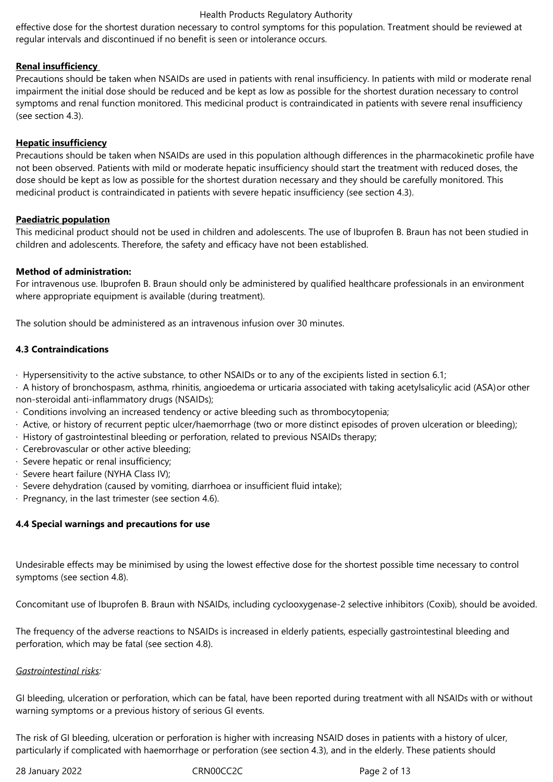effective dose for the shortest duration necessary to control symptoms for this population. Treatment should be reviewed at regular intervals and discontinued if no benefit is seen or intolerance occurs.

### **Renal insufficiency**

Precautions should be taken when NSAIDs are used in patients with renal insufficiency. In patients with mild or moderate renal impairment the initial dose should be reduced and be kept as low as possible for the shortest duration necessary to control symptoms and renal function monitored. This medicinal product is contraindicated in patients with severe renal insufficiency (see section 4.3).

### **Hepatic insufficiency**

Precautions should be taken when NSAIDs are used in this population although differences in the pharmacokinetic profile have not been observed. Patients with mild or moderate hepatic insufficiency should start the treatment with reduced doses, the dose should be kept as low as possible for the shortest duration necessary and they should be carefully monitored. This medicinal product is contraindicated in patients with severe hepatic insufficiency (see section 4.3).

### **Paediatric population**

This medicinal product should not be used in children and adolescents. The use of Ibuprofen B. Braun has not been studied in children and adolescents. Therefore, the safety and efficacy have not been established.

### **Method of administration:**

For intravenous use. Ibuprofen B. Braun should only be administered by qualified healthcare professionals in an environment where appropriate equipment is available (during treatment).

The solution should be administered as an intravenous infusion over 30 minutes.

# **4.3 Contraindications**

- · Hypersensitivity to the active substance, to other NSAIDs or to any of the excipients listed in section 6.1;
- · A history of bronchospasm, asthma, rhinitis, angioedema or urticaria associated with taking acetylsalicylic acid (ASA)or other non-steroidal anti-inflammatory drugs (NSAIDs);
- · Conditions involving an increased tendency or active bleeding such as thrombocytopenia;
- · Active, or history of recurrent peptic ulcer/haemorrhage (two or more distinct episodes of proven ulceration or bleeding);
- · History of gastrointestinal bleeding or perforation, related to previous NSAIDs therapy;
- · Cerebrovascular or other active bleeding;
- · Severe hepatic or renal insufficiency;
- · Severe heart failure (NYHA Class IV);
- · Severe dehydration (caused by vomiting, diarrhoea or insufficient fluid intake);
- · Pregnancy, in the last trimester (see section 4.6).

# **4.4 Special warnings and precautions for use**

Undesirable effects may be minimised by using the lowest effective dose for the shortest possible time necessary to control symptoms (see section 4.8).

Concomitant use of Ibuprofen B. Braun with NSAIDs, including cyclooxygenase-2 selective inhibitors (Coxib), should be avoided.

The frequency of the adverse reactions to NSAIDs is increased in elderly patients, especially gastrointestinal bleeding and perforation, which may be fatal (see section 4.8).

# *Gastrointestinal risks:*

GI bleeding, ulceration or perforation, which can be fatal, have been reported during treatment with all NSAIDs with or without warning symptoms or a previous history of serious GI events.

The risk of GI bleeding, ulceration or perforation is higher with increasing NSAID doses in patients with a history of ulcer, particularly if complicated with haemorrhage or perforation (see section 4.3), and in the elderly. These patients should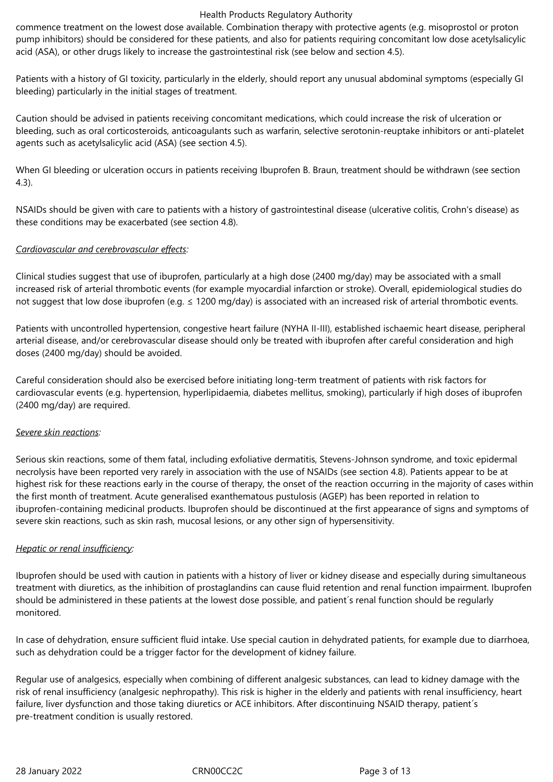commence treatment on the lowest dose available. Combination therapy with protective agents (e.g. misoprostol or proton pump inhibitors) should be considered for these patients, and also for patients requiring concomitant low dose acetylsalicylic acid (ASA), or other drugs likely to increase the gastrointestinal risk (see below and section 4.5).

Patients with a history of GI toxicity, particularly in the elderly, should report any unusual abdominal symptoms (especially GI bleeding) particularly in the initial stages of treatment.

Caution should be advised in patients receiving concomitant medications, which could increase the risk of ulceration or bleeding, such as oral corticosteroids, anticoagulants such as warfarin, selective serotonin-reuptake inhibitors or anti-platelet agents such as acetylsalicylic acid (ASA) (see section 4.5).

When GI bleeding or ulceration occurs in patients receiving Ibuprofen B. Braun, treatment should be withdrawn (see section 4.3).

NSAIDs should be given with care to patients with a history of gastrointestinal disease (ulcerative colitis, Crohn's disease) as these conditions may be exacerbated (see section 4.8).

### *Cardiovascular and cerebrovascular effects:*

Clinical studies suggest that use of ibuprofen, particularly at a high dose (2400 mg/day) may be associated with a small increased risk of arterial thrombotic events (for example myocardial infarction or stroke). Overall, epidemiological studies do not suggest that low dose ibuprofen (e.g. ≤ 1200 mg/day) is associated with an increased risk of arterial thrombotic events.

Patients with uncontrolled hypertension, congestive heart failure (NYHA II-III), established ischaemic heart disease, peripheral arterial disease, and/or cerebrovascular disease should only be treated with ibuprofen after careful consideration and high doses (2400 mg/day) should be avoided.

Careful consideration should also be exercised before initiating long-term treatment of patients with risk factors for cardiovascular events (e.g. hypertension, hyperlipidaemia, diabetes mellitus, smoking), particularly if high doses of ibuprofen (2400 mg/day) are required.

### *Severe skin reactions:*

Serious skin reactions, some of them fatal, including exfoliative dermatitis, Stevens-Johnson syndrome, and toxic epidermal necrolysis have been reported very rarely in association with the use of NSAIDs (see section 4.8). Patients appear to be at highest risk for these reactions early in the course of therapy, the onset of the reaction occurring in the majority of cases within the first month of treatment. Acute generalised exanthematous pustulosis (AGEP) has been reported in relation to ibuprofen-containing medicinal products. Ibuprofen should be discontinued at the first appearance of signs and symptoms of severe skin reactions, such as skin rash, mucosal lesions, or any other sign of hypersensitivity.

### *Hepatic or renal insufficiency:*

Ibuprofen should be used with caution in patients with a history of liver or kidney disease and especially during simultaneous treatment with diuretics, as the inhibition of prostaglandins can cause fluid retention and renal function impairment. Ibuprofen should be administered in these patients at the lowest dose possible, and patient´s renal function should be regularly monitored.

In case of dehydration, ensure sufficient fluid intake. Use special caution in dehydrated patients, for example due to diarrhoea, such as dehydration could be a trigger factor for the development of kidney failure.

Regular use of analgesics, especially when combining of different analgesic substances, can lead to kidney damage with the risk of renal insufficiency (analgesic nephropathy). This risk is higher in the elderly and patients with renal insufficiency, heart failure, liver dysfunction and those taking diuretics or ACE inhibitors. After discontinuing NSAID therapy, patient's pre-treatment condition is usually restored.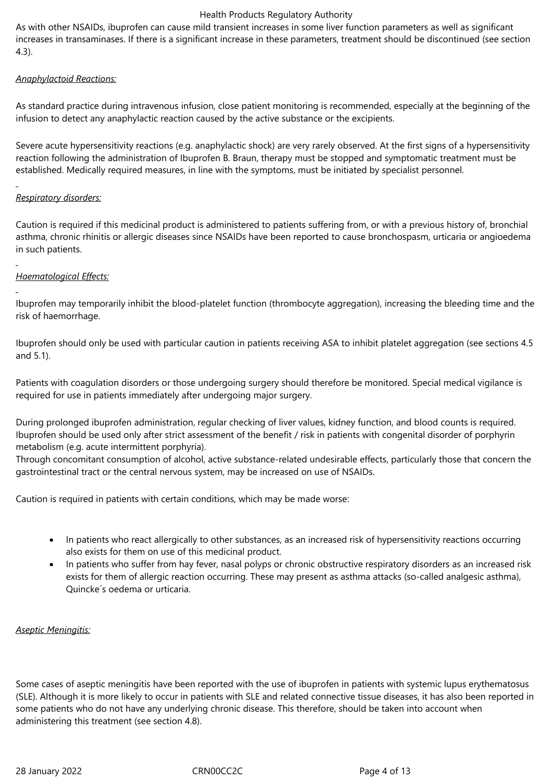As with other NSAIDs, ibuprofen can cause mild transient increases in some liver function parameters as well as significant increases in transaminases. If there is a significant increase in these parameters, treatment should be discontinued (see section 4.3).

# *Anaphylactoid Reactions:*

As standard practice during intravenous infusion, close patient monitoring is recommended, especially at the beginning of the infusion to detect any anaphylactic reaction caused by the active substance or the excipients.

Severe acute hypersensitivity reactions (e.g. anaphylactic shock) are very rarely observed. At the first signs of a hypersensitivity reaction following the administration of Ibuprofen B. Braun, therapy must be stopped and symptomatic treatment must be established. Medically required measures, in line with the symptoms, must be initiated by specialist personnel.

# *Respiratory disorders:*

Caution is required if this medicinal product is administered to patients suffering from, or with a previous history of, bronchial asthma, chronic rhinitis or allergic diseases since NSAIDs have been reported to cause bronchospasm, urticaria or angioedema in such patients.

# *Haematological Effects:*

Ibuprofen may temporarily inhibit the blood-platelet function (thrombocyte aggregation), increasing the bleeding time and the risk of haemorrhage.

Ibuprofen should only be used with particular caution in patients receiving ASA to inhibit platelet aggregation (see sections 4.5 and 5.1).

Patients with coagulation disorders or those undergoing surgery should therefore be monitored. Special medical vigilance is required for use in patients immediately after undergoing major surgery.

During prolonged ibuprofen administration, regular checking of liver values, kidney function, and blood counts is required. Ibuprofen should be used only after strict assessment of the benefit / risk in patients with congenital disorder of porphyrin metabolism (e.g. acute intermittent porphyria).

Through concomitant consumption of alcohol, active substance-related undesirable effects, particularly those that concern the gastrointestinal tract or the central nervous system, may be increased on use of NSAIDs.

Caution is required in patients with certain conditions, which may be made worse:

- In patients who react allergically to other substances, as an increased risk of hypersensitivity reactions occurring also exists for them on use of this medicinal product.
- In patients who suffer from hay fever, nasal polyps or chronic obstructive respiratory disorders as an increased risk exists for them of allergic reaction occurring. These may present as asthma attacks (so-called analgesic asthma), Quincke´s oedema or urticaria.

# *Aseptic Meningitis:*

Some cases of aseptic meningitis have been reported with the use of ibuprofen in patients with systemic lupus erythematosus (SLE). Although it is more likely to occur in patients with SLE and related connective tissue diseases, it has also been reported in some patients who do not have any underlying chronic disease. This therefore, should be taken into account when administering this treatment (see section 4.8).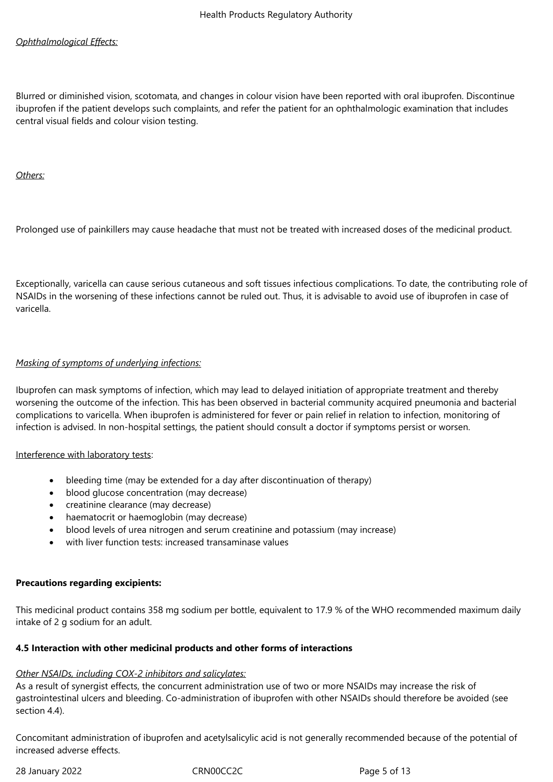# *Ophthalmological Effects:*

Blurred or diminished vision, scotomata, and changes in colour vision have been reported with oral ibuprofen. Discontinue ibuprofen if the patient develops such complaints, and refer the patient for an ophthalmologic examination that includes central visual fields and colour vision testing.

*Others:*

Prolonged use of painkillers may cause headache that must not be treated with increased doses of the medicinal product.

Exceptionally, varicella can cause serious cutaneous and soft tissues infectious complications. To date, the contributing role of NSAIDs in the worsening of these infections cannot be ruled out. Thus, it is advisable to avoid use of ibuprofen in case of varicella.

### *Masking of symptoms of underlying infections:*

Ibuprofen can mask symptoms of infection, which may lead to delayed initiation of appropriate treatment and thereby worsening the outcome of the infection. This has been observed in bacterial community acquired pneumonia and bacterial complications to varicella. When ibuprofen is administered for fever or pain relief in relation to infection, monitoring of infection is advised. In non-hospital settings, the patient should consult a doctor if symptoms persist or worsen.

### Interference with laboratory tests:

- bleeding time (may be extended for a day after discontinuation of therapy)
- blood glucose concentration (may decrease)
- creatinine clearance (may decrease)
- haematocrit or haemoglobin (may decrease)
- blood levels of urea nitrogen and serum creatinine and potassium (may increase)
- with liver function tests: increased transaminase values

### **Precautions regarding excipients:**

This medicinal product contains 358 mg sodium per bottle, equivalent to 17.9 % of the WHO recommended maximum daily intake of 2 g sodium for an adult.

### **4.5 Interaction with other medicinal products and other forms of interactions**

### *Other NSAIDs, including COX-2 inhibitors and salicylates:*

As a result of synergist effects, the concurrent administration use of two or more NSAIDs may increase the risk of gastrointestinal ulcers and bleeding. Co-administration of ibuprofen with other NSAIDs should therefore be avoided (see section 4.4).

Concomitant administration of ibuprofen and acetylsalicylic acid is not generally recommended because of the potential of increased adverse effects.

28 January 2022 **CRNOOCC2C** Page 5 of 13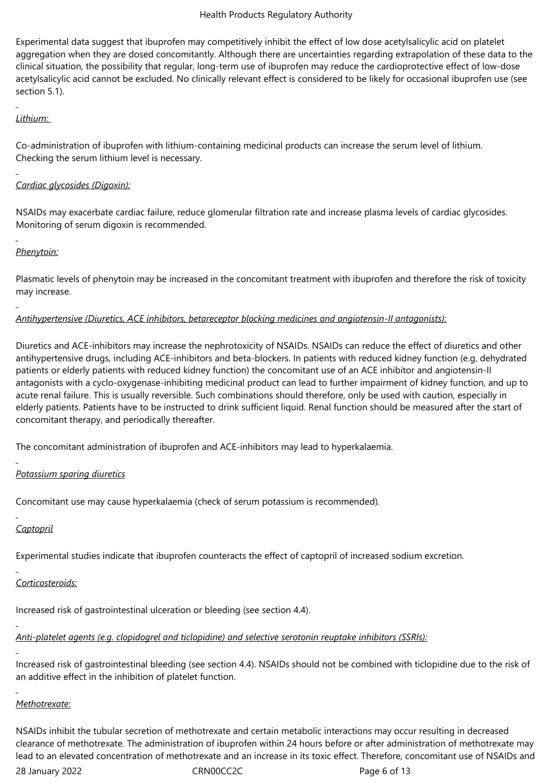Experimental data suggest that ibuprofen may competitively inhibit the effect of low dose acetylsalicylic acid on platelet aggregation when they are dosed concomitantly. Although there are uncertainties regarding extrapolation of these data to the clinical situation, the possibility that regular, long-term use of ibuprofen may reduce the cardioprotective effect of low-dose acetylsalicylic acid cannot be excluded. No clinically relevant effect is considered to be likely for occasional ibuprofen use (see section 5.1).

# *Lithium:*

Co-administration of ibuprofen with lithium-containing medicinal products can increase the serum level of lithium. Checking the serum lithium level is necessary.

# *Cardiac glycosides (Digoxin):*

NSAIDs may exacerbate cardiac failure, reduce glomerular filtration rate and increase plasma levels of cardiac glycosides. Monitoring of serum digoxin is recommended.

# *Phenytoin:*

Plasmatic levels of phenytoin may be increased in the concomitant treatment with ibuprofen and therefore the risk of toxicity may increase.

# *Antihypertensive (Diuretics, ACE inhibitors, betareceptor blocking medicines and angiotensin-II antagonists):*

Diuretics and ACE-inhibitors may increase the nephrotoxicity of NSAIDs. NSAIDs can reduce the effect of diuretics and other antihypertensive drugs, including ACE-inhibitors and beta-blockers. In patients with reduced kidney function (e.g. dehydrated patients or elderly patients with reduced kidney function) the concomitant use of an ACE inhibitor and angiotensin-II antagonists with a cyclo-oxygenase-inhibiting medicinal product can lead to further impairment of kidney function, and up to acute renal failure. This is usually reversible. Such combinations should therefore, only be used with caution, especially in elderly patients. Patients have to be instructed to drink sufficient liquid. Renal function should be measured after the start of concomitant therapy, and periodically thereafter.

The concomitant administration of ibuprofen and ACE-inhibitors may lead to hyperkalaemia.

# *Potassium sparing diuretics*

Concomitant use may cause hyperkalaemia (check of serum potassium is recommended).

# *Captopril*

Experimental studies indicate that ibuprofen counteracts the effect of captopril of increased sodium excretion.

# *Corticosteroids:*

Increased risk of gastrointestinal ulceration or bleeding (see section 4.4).

# *Anti-platelet agents (e.g. clopidogrel and ticlopidine) and selective serotonin reuptake inhibitors (SSRIs):*

Increased risk of gastrointestinal bleeding (see section 4.4). NSAIDs should not be combined with ticlopidine due to the risk of an additive effect in the inhibition of platelet function.

### *Methotrexate:*

NSAIDs inhibit the tubular secretion of methotrexate and certain metabolic interactions may occur resulting in decreased clearance of methotrexate. The administration of ibuprofen within 24 hours before or after administration of methotrexate may lead to an elevated concentration of methotrexate and an increase in its toxic effect. Therefore, concomitant use of NSAIDs and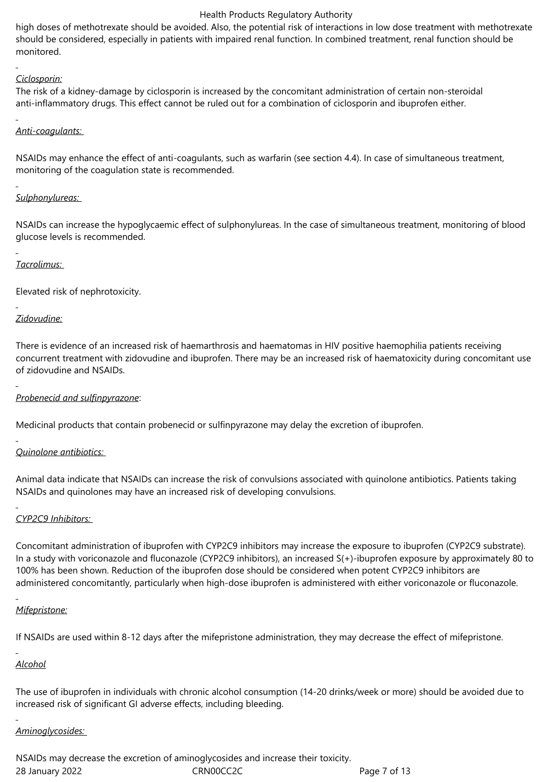high doses of methotrexate should be avoided. Also, the potential risk of interactions in low dose treatment with methotrexate should be considered, especially in patients with impaired renal function. In combined treatment, renal function should be monitored.

# *Ciclosporin:*

The risk of a kidney-damage by ciclosporin is increased by the concomitant administration of certain non-steroidal anti-inflammatory drugs. This effect cannot be ruled out for a combination of ciclosporin and ibuprofen either.

# *Anti-coagulants:*

NSAIDs may enhance the effect of anti-coagulants, such as warfarin (see section 4.4). In case of simultaneous treatment, monitoring of the coagulation state is recommended.

# *Sulphonylureas:*

NSAIDs can increase the hypoglycaemic effect of sulphonylureas. In the case of simultaneous treatment, monitoring of blood glucose levels is recommended.

# *Tacrolimus:*

Elevated risk of nephrotoxicity.

# *Zidovudine:*

There is evidence of an increased risk of haemarthrosis and haematomas in HIV positive haemophilia patients receiving concurrent treatment with zidovudine and ibuprofen. There may be an increased risk of haematoxicity during concomitant use of zidovudine and NSAIDs.

# *Probenecid and sulfinpyrazone*:

Medicinal products that contain probenecid or sulfinpyrazone may delay the excretion of ibuprofen.

# *Quinolone antibiotics:*

Animal data indicate that NSAIDs can increase the risk of convulsions associated with quinolone antibiotics. Patients taking NSAIDs and quinolones may have an increased risk of developing convulsions.

# *CYP2C9 Inhibitors:*

Concomitant administration of ibuprofen with CYP2C9 inhibitors may increase the exposure to ibuprofen (CYP2C9 substrate). In a study with voriconazole and fluconazole (CYP2C9 inhibitors), an increased S(+)-ibuprofen exposure by approximately 80 to 100% has been shown. Reduction of the ibuprofen dose should be considered when potent CYP2C9 inhibitors are administered concomitantly, particularly when high-dose ibuprofen is administered with either voriconazole or fluconazole.

# *Mifepristone:*

If NSAIDs are used within 8-12 days after the mifepristone administration, they may decrease the effect of mifepristone.

# *Alcohol*

The use of ibuprofen in individuals with chronic alcohol consumption (14-20 drinks/week or more) should be avoided due to increased risk of significant GI adverse effects, including bleeding.

# *Aminoglycosides:*

28 January 2022 CRN00CC2C Page 7 of 13 NSAIDs may decrease the excretion of aminoglycosides and increase their toxicity.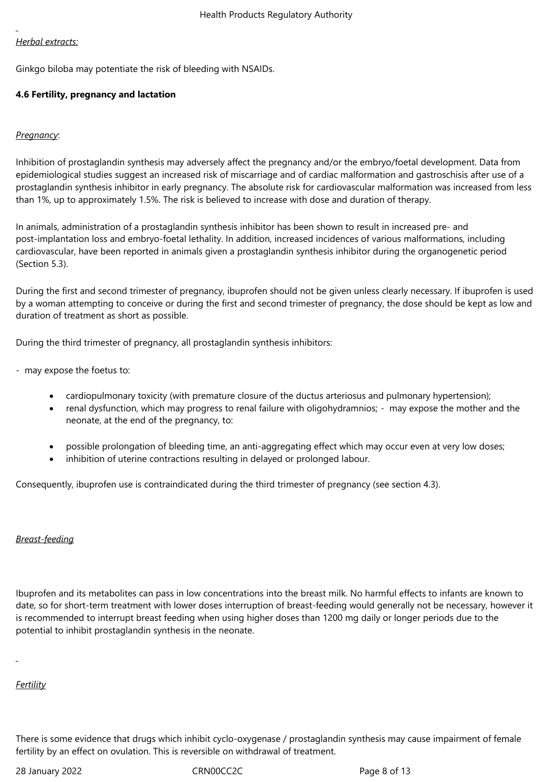# *Herbal extracts:*

Ginkgo biloba may potentiate the risk of bleeding with NSAIDs.

# **4.6 Fertility, pregnancy and lactation**

# *Pregnancy*:

Inhibition of prostaglandin synthesis may adversely affect the pregnancy and/or the embryo/foetal development. Data from epidemiological studies suggest an increased risk of miscarriage and of cardiac malformation and gastroschisis after use of a prostaglandin synthesis inhibitor in early pregnancy. The absolute risk for cardiovascular malformation was increased from less than 1%, up to approximately 1.5%. The risk is believed to increase with dose and duration of therapy.

In animals, administration of a prostaglandin synthesis inhibitor has been shown to result in increased pre- and post-implantation loss and embryo-foetal lethality. In addition, increased incidences of various malformations, including cardiovascular, have been reported in animals given a prostaglandin synthesis inhibitor during the organogenetic period (Section 5.3).

During the first and second trimester of pregnancy, ibuprofen should not be given unless clearly necessary. If ibuprofen is used by a woman attempting to conceive or during the first and second trimester of pregnancy, the dose should be kept as low and duration of treatment as short as possible.

During the third trimester of pregnancy, all prostaglandin synthesis inhibitors:

- may expose the foetus to:

- cardiopulmonary toxicity (with premature closure of the ductus arteriosus and pulmonary hypertension);
- renal dysfunction, which may progress to renal failure with oligohydramnios; may expose the mother and the neonate, at the end of the pregnancy, to:
- possible prolongation of bleeding time, an anti-aggregating effect which may occur even at very low doses;
- inhibition of uterine contractions resulting in delayed or prolonged labour.

Consequently, ibuprofen use is contraindicated during the third trimester of pregnancy (see section 4.3).

# *Breast-feeding*

Ibuprofen and its metabolites can pass in low concentrations into the breast milk. No harmful effects to infants are known to date, so for short-term treatment with lower doses interruption of breast-feeding would generally not be necessary, however it is recommended to interrupt breast feeding when using higher doses than 1200 mg daily or longer periods due to the potential to inhibit prostaglandin synthesis in the neonate.

# *Fertility*

There is some evidence that drugs which inhibit cyclo-oxygenase / prostaglandin synthesis may cause impairment of female fertility by an effect on ovulation. This is reversible on withdrawal of treatment.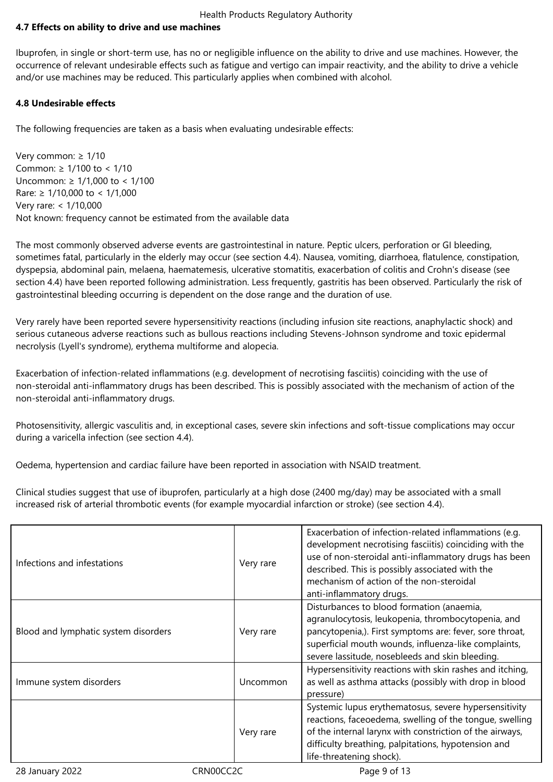### **4.7 Effects on ability to drive and use machines**

Ibuprofen, in single or short-term use, has no or negligible influence on the ability to drive and use machines. However, the occurrence of relevant undesirable effects such as fatigue and vertigo can impair reactivity, and the ability to drive a vehicle and/or use machines may be reduced. This particularly applies when combined with alcohol.

### **4.8 Undesirable effects**

The following frequencies are taken as a basis when evaluating undesirable effects:

Very common: ≥ 1/10 Common: ≥ 1/100 to < 1/10 Uncommon: ≥ 1/1,000 to < 1/100 Rare: ≥ 1/10,000 to < 1/1,000 Very rare: < 1/10,000 Not known: frequency cannot be estimated from the available data

The most commonly observed adverse events are gastrointestinal in nature. Peptic ulcers, perforation or GI bleeding, sometimes fatal, particularly in the elderly may occur (see section 4.4). Nausea, vomiting, diarrhoea, flatulence, constipation, dyspepsia, abdominal pain, melaena, haematemesis, ulcerative stomatitis, exacerbation of colitis and Crohn's disease (see section 4.4) have been reported following administration. Less frequently, gastritis has been observed. Particularly the risk of gastrointestinal bleeding occurring is dependent on the dose range and the duration of use.

Very rarely have been reported severe hypersensitivity reactions (including infusion site reactions, anaphylactic shock) and serious cutaneous adverse reactions such as bullous reactions including Stevens-Johnson syndrome and toxic epidermal necrolysis (Lyell's syndrome), erythema multiforme and alopecia.

Exacerbation of infection-related inflammations (e.g. development of necrotising fasciitis) coinciding with the use of non-steroidal anti-inflammatory drugs has been described. This is possibly associated with the mechanism of action of the non-steroidal anti-inflammatory drugs.

Photosensitivity, allergic vasculitis and, in exceptional cases, severe skin infections and soft-tissue complications may occur during a varicella infection (see section 4.4).

Oedema, hypertension and cardiac failure have been reported in association with NSAID treatment.

Clinical studies suggest that use of ibuprofen, particularly at a high dose (2400 mg/day) may be associated with a small increased risk of arterial thrombotic events (for example myocardial infarction or stroke) (see section 4.4).

| Infections and infestations          | Very rare | Exacerbation of infection-related inflammations (e.g.<br>development necrotising fasciitis) coinciding with the<br>use of non-steroidal anti-inflammatory drugs has been<br>described. This is possibly associated with the<br>mechanism of action of the non-steroidal<br>anti-inflammatory drugs. |
|--------------------------------------|-----------|-----------------------------------------------------------------------------------------------------------------------------------------------------------------------------------------------------------------------------------------------------------------------------------------------------|
| Blood and lymphatic system disorders | Very rare | Disturbances to blood formation (anaemia,<br>agranulocytosis, leukopenia, thrombocytopenia, and<br>pancytopenia,). First symptoms are: fever, sore throat,<br>superficial mouth wounds, influenza-like complaints,<br>severe lassitude, nosebleeds and skin bleeding.                               |
| Immune system disorders              | Uncommon  | Hypersensitivity reactions with skin rashes and itching,<br>as well as asthma attacks (possibly with drop in blood<br>pressure)                                                                                                                                                                     |
|                                      | Very rare | Systemic lupus erythematosus, severe hypersensitivity<br>reactions, faceoedema, swelling of the tongue, swelling<br>of the internal larynx with constriction of the airways,<br>difficulty breathing, palpitations, hypotension and<br>life-threatening shock).                                     |
| 28 January 2022                      | CRN00CC2C | Page 9 of 13                                                                                                                                                                                                                                                                                        |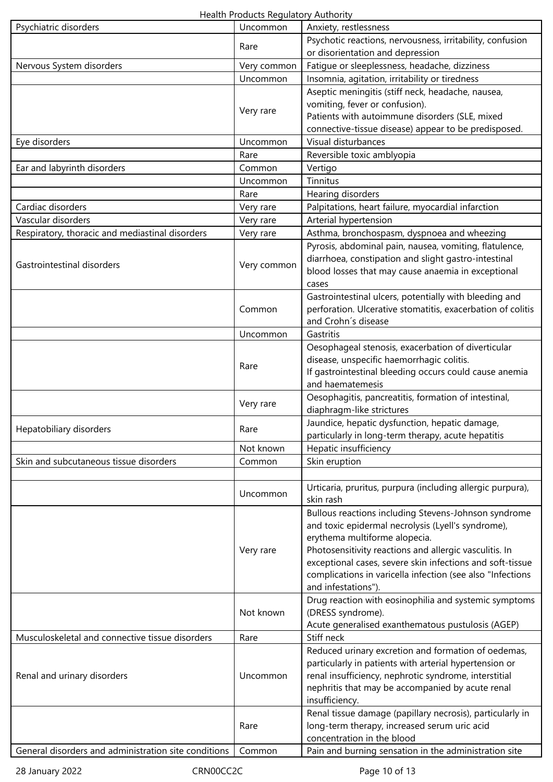Health Products Regulatory Authority

| Psychiatric disorders                                | Uncommon    | Anxiety, restlessness                                                                                                                                                         |
|------------------------------------------------------|-------------|-------------------------------------------------------------------------------------------------------------------------------------------------------------------------------|
|                                                      | Rare        | Psychotic reactions, nervousness, irritability, confusion                                                                                                                     |
|                                                      |             | or disorientation and depression                                                                                                                                              |
| Nervous System disorders                             | Very common | Fatigue or sleeplessness, headache, dizziness                                                                                                                                 |
|                                                      | Uncommon    | Insomnia, agitation, irritability or tiredness                                                                                                                                |
|                                                      |             | Aseptic meningitis (stiff neck, headache, nausea,                                                                                                                             |
|                                                      | Very rare   | vomiting, fever or confusion).                                                                                                                                                |
|                                                      |             | Patients with autoimmune disorders (SLE, mixed                                                                                                                                |
|                                                      |             | connective-tissue disease) appear to be predisposed.                                                                                                                          |
| Eye disorders                                        | Uncommon    | Visual disturbances                                                                                                                                                           |
|                                                      | Rare        | Reversible toxic amblyopia                                                                                                                                                    |
| Ear and labyrinth disorders                          | Common      | Vertigo                                                                                                                                                                       |
|                                                      | Uncommon    | Tinnitus                                                                                                                                                                      |
|                                                      | Rare        | Hearing disorders                                                                                                                                                             |
| Cardiac disorders                                    | Very rare   | Palpitations, heart failure, myocardial infarction                                                                                                                            |
| Vascular disorders                                   | Very rare   | Arterial hypertension                                                                                                                                                         |
| Respiratory, thoracic and mediastinal disorders      | Very rare   | Asthma, bronchospasm, dyspnoea and wheezing                                                                                                                                   |
| Gastrointestinal disorders                           | Very common | Pyrosis, abdominal pain, nausea, vomiting, flatulence,<br>diarrhoea, constipation and slight gastro-intestinal<br>blood losses that may cause anaemia in exceptional<br>cases |
|                                                      | Common      | Gastrointestinal ulcers, potentially with bleeding and<br>perforation. Ulcerative stomatitis, exacerbation of colitis<br>and Crohn's disease                                  |
|                                                      | Uncommon    | Gastritis                                                                                                                                                                     |
|                                                      |             | Oesophageal stenosis, exacerbation of diverticular                                                                                                                            |
|                                                      | Rare        | disease, unspecific haemorrhagic colitis.<br>If gastrointestinal bleeding occurs could cause anemia                                                                           |
|                                                      |             | and haematemesis                                                                                                                                                              |
|                                                      | Very rare   | Oesophagitis, pancreatitis, formation of intestinal,<br>diaphragm-like strictures                                                                                             |
| Hepatobiliary disorders                              | Rare        | Jaundice, hepatic dysfunction, hepatic damage,                                                                                                                                |
|                                                      |             | particularly in long-term therapy, acute hepatitis                                                                                                                            |
|                                                      | Not known   | Hepatic insufficiency                                                                                                                                                         |
| Skin and subcutaneous tissue disorders               | Common      | Skin eruption                                                                                                                                                                 |
|                                                      |             |                                                                                                                                                                               |
|                                                      | Uncommon    | Urticaria, pruritus, purpura (including allergic purpura),<br>skin rash                                                                                                       |
|                                                      |             | Bullous reactions including Stevens-Johnson syndrome                                                                                                                          |
|                                                      |             | and toxic epidermal necrolysis (Lyell's syndrome),                                                                                                                            |
|                                                      |             | erythema multiforme alopecia.                                                                                                                                                 |
|                                                      | Very rare   | Photosensitivity reactions and allergic vasculitis. In                                                                                                                        |
|                                                      |             | exceptional cases, severe skin infections and soft-tissue                                                                                                                     |
|                                                      |             | complications in varicella infection (see also "Infections                                                                                                                    |
|                                                      |             | and infestations")                                                                                                                                                            |
|                                                      |             | Drug reaction with eosinophilia and systemic symptoms                                                                                                                         |
|                                                      | Not known   | (DRESS syndrome).                                                                                                                                                             |
|                                                      |             | Acute generalised exanthematous pustulosis (AGEP)                                                                                                                             |
| Musculoskeletal and connective tissue disorders      | Rare        | Stiff neck                                                                                                                                                                    |
|                                                      |             | Reduced urinary excretion and formation of oedemas,                                                                                                                           |
|                                                      | Uncommon    | particularly in patients with arterial hypertension or                                                                                                                        |
| Renal and urinary disorders                          |             | renal insufficiency, nephrotic syndrome, interstitial                                                                                                                         |
|                                                      |             | nephritis that may be accompanied by acute renal                                                                                                                              |
|                                                      |             | insufficiency.                                                                                                                                                                |
|                                                      |             | Renal tissue damage (papillary necrosis), particularly in                                                                                                                     |
|                                                      | Rare        | long-term therapy, increased serum uric acid                                                                                                                                  |
|                                                      |             | concentration in the blood                                                                                                                                                    |
| General disorders and administration site conditions | Common      | Pain and burning sensation in the administration site                                                                                                                         |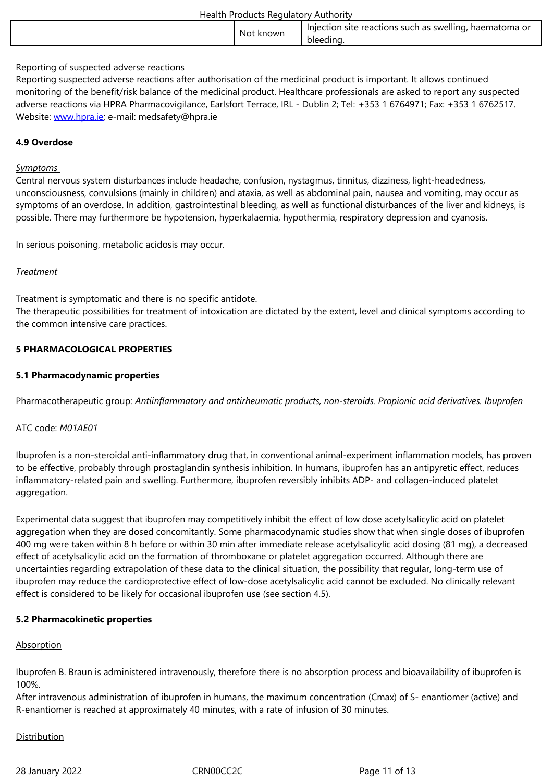### Reporting of suspected adverse reactions

Reporting suspected adverse reactions after authorisation of the medicinal product is important. It allows continued monitoring of the benefit/risk balance of the medicinal product. Healthcare professionals are asked to report any suspected adverse reactions via HPRA Pharmacovigilance, Earlsfort Terrace, IRL - Dublin 2; Tel: +353 1 6764971; Fax: +353 1 6762517. Website: www.hpra.ie; e-mail: medsafety@hpra.ie

### **4.9 Overdose**

### *Sympto[ms](http://www.hpra.ie/)*

Central nervous system disturbances include headache, confusion, nystagmus, tinnitus, dizziness, light-headedness, unconsciousness, convulsions (mainly in children) and ataxia, as well as abdominal pain, nausea and vomiting, may occur as symptoms of an overdose. In addition, gastrointestinal bleeding, as well as functional disturbances of the liver and kidneys, is possible. There may furthermore be hypotension, hyperkalaemia, hypothermia, respiratory depression and cyanosis.

In serious poisoning, metabolic acidosis may occur.

### *Treatment*

Treatment is symptomatic and there is no specific antidote.

The therapeutic possibilities for treatment of intoxication are dictated by the extent, level and clinical symptoms according to the common intensive care practices.

### **5 PHARMACOLOGICAL PROPERTIES**

### **5.1 Pharmacodynamic properties**

Pharmacotherapeutic group: *Antiinflammatory and antirheumatic products, non-steroids. Propionic acid derivatives. Ibuprofen*

### ATC code: *M01AE01*

Ibuprofen is a non-steroidal anti-inflammatory drug that, in conventional animal-experiment inflammation models, has proven to be effective, probably through prostaglandin synthesis inhibition. In humans, ibuprofen has an antipyretic effect, reduces inflammatory-related pain and swelling. Furthermore, ibuprofen reversibly inhibits ADP- and collagen-induced platelet aggregation.

Experimental data suggest that ibuprofen may competitively inhibit the effect of low dose acetylsalicylic acid on platelet aggregation when they are dosed concomitantly. Some pharmacodynamic studies show that when single doses of ibuprofen 400 mg were taken within 8 h before or within 30 min after immediate release acetylsalicylic acid dosing (81 mg), a decreased effect of acetylsalicylic acid on the formation of thromboxane or platelet aggregation occurred. Although there are uncertainties regarding extrapolation of these data to the clinical situation, the possibility that regular, long-term use of ibuprofen may reduce the cardioprotective effect of low-dose acetylsalicylic acid cannot be excluded. No clinically relevant effect is considered to be likely for occasional ibuprofen use (see section 4.5).

### **5.2 Pharmacokinetic properties**

### Absorption

Ibuprofen B. Braun is administered intravenously, therefore there is no absorption process and bioavailability of ibuprofen is 100%.

After intravenous administration of ibuprofen in humans, the maximum concentration (Cmax) of S- enantiomer (active) and R-enantiomer is reached at approximately 40 minutes, with a rate of infusion of 30 minutes.

### Distribution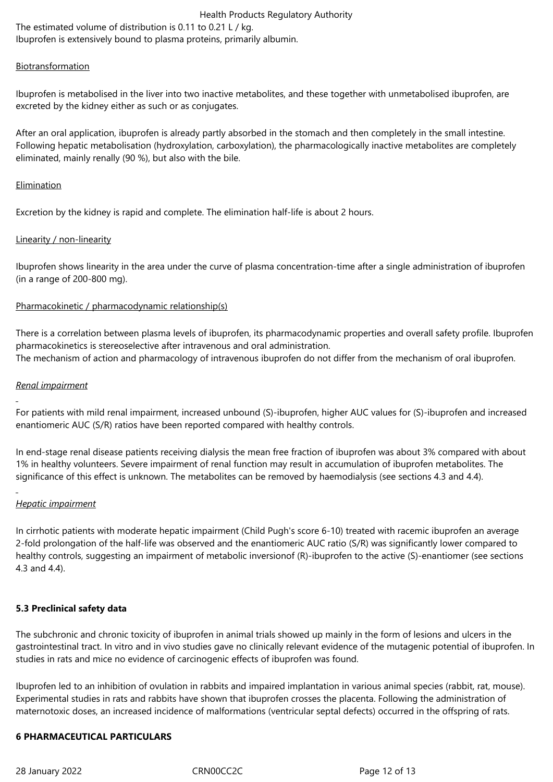Health Products Regulatory Authority The estimated volume of distribution is 0.11 to 0.21 L / kg. Ibuprofen is extensively bound to plasma proteins, primarily albumin.

### Biotransformation

Ibuprofen is metabolised in the liver into two inactive metabolites, and these together with unmetabolised ibuprofen, are excreted by the kidney either as such or as conjugates.

After an oral application, ibuprofen is already partly absorbed in the stomach and then completely in the small intestine. Following hepatic metabolisation (hydroxylation, carboxylation), the pharmacologically inactive metabolites are completely eliminated, mainly renally (90 %), but also with the bile.

#### Elimination

Excretion by the kidney is rapid and complete. The elimination half-life is about 2 hours.

### Linearity / non-linearity

Ibuprofen shows linearity in the area under the curve of plasma concentration-time after a single administration of ibuprofen (in a range of 200‑800 mg).

### Pharmacokinetic / pharmacodynamic relationship(s)

There is a correlation between plasma levels of ibuprofen, its pharmacodynamic properties and overall safety profile. Ibuprofen pharmacokinetics is stereoselective after intravenous and oral administration. The mechanism of action and pharmacology of intravenous ibuprofen do not differ from the mechanism of oral ibuprofen.

### *Renal impairment*

For patients with mild renal impairment, increased unbound (S)-ibuprofen, higher AUC values for (S)-ibuprofen and increased enantiomeric AUC (S/R) ratios have been reported compared with healthy controls.

In end-stage renal disease patients receiving dialysis the mean free fraction of ibuprofen was about 3% compared with about 1% in healthy volunteers. Severe impairment of renal function may result in accumulation of ibuprofen metabolites. The significance of this effect is unknown. The metabolites can be removed by haemodialysis (see sections 4.3 and 4.4).

# *Hepatic impairment*

In cirrhotic patients with moderate hepatic impairment (Child Pugh's score 6-10) treated with racemic ibuprofen an average 2-fold prolongation of the half-life was observed and the enantiomeric AUC ratio (S/R) was significantly lower compared to healthy controls, suggesting an impairment of metabolic inversionof (R)-ibuprofen to the active (S)-enantiomer (see sections 4.3 and 4.4).

### **5.3 Preclinical safety data**

The subchronic and chronic toxicity of ibuprofen in animal trials showed up mainly in the form of lesions and ulcers in the gastrointestinal tract. In vitro and in vivo studies gave no clinically relevant evidence of the mutagenic potential of ibuprofen. In studies in rats and mice no evidence of carcinogenic effects of ibuprofen was found.

Ibuprofen led to an inhibition of ovulation in rabbits and impaired implantation in various animal species (rabbit, rat, mouse). Experimental studies in rats and rabbits have shown that ibuprofen crosses the placenta. Following the administration of maternotoxic doses, an increased incidence of malformations (ventricular septal defects) occurred in the offspring of rats.

### **6 PHARMACEUTICAL PARTICULARS**

28 January 2022 CRN00CC2C Page 12 of 13